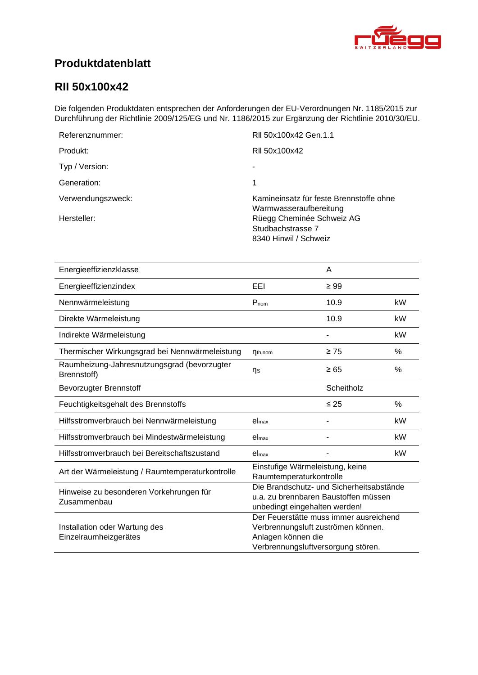<span id="page-0-4"></span><span id="page-0-3"></span><span id="page-0-2"></span><span id="page-0-1"></span>

# **Produktdatenblatt**

### <span id="page-0-0"></span>**RII 50x100x42**

Die folgenden Produktdaten entsprechen der Anforderungen der EU-Verordnungen Nr. 1185/2015 zur Durchführung der Richtlinie 2009/125/EG und Nr. 1186/2015 zur Ergänzung der Richtlinie 2010/30/EU.

| Referenznummer:   | RII 50x100x42 Gen.1.1                                                   |
|-------------------|-------------------------------------------------------------------------|
| Produkt:          | RII 50x100x42                                                           |
| Typ / Version:    |                                                                         |
| Generation:       | 1                                                                       |
| Verwendungszweck: | Kamineinsatz für feste Brennstoffe ohne<br>Warmwasseraufbereitung       |
| Hersteller:       | Rüegg Cheminée Schweiz AG<br>Studbachstrasse 7<br>8340 Hinwil / Schweiz |

<span id="page-0-8"></span><span id="page-0-7"></span><span id="page-0-6"></span><span id="page-0-5"></span>

| Energieeffizienzklasse                                     |                                                                                                                                          | A          |      |
|------------------------------------------------------------|------------------------------------------------------------------------------------------------------------------------------------------|------------|------|
| Energieeffizienzindex                                      | EEI                                                                                                                                      | $\geq 99$  |      |
| Nennwärmeleistung                                          | $P_{nom}$                                                                                                                                | 10.9       | kW   |
| Direkte Wärmeleistung                                      |                                                                                                                                          | 10.9       | kW   |
| Indirekte Wärmeleistung                                    |                                                                                                                                          |            | kW   |
| Thermischer Wirkungsgrad bei Nennwärmeleistung             | $\eta_{th,nom}$                                                                                                                          | $\geq 75$  | %    |
| Raumheizung-Jahresnutzungsgrad (bevorzugter<br>Brennstoff) | ηs                                                                                                                                       | $\geq 65$  | %    |
| <b>Bevorzugter Brennstoff</b>                              |                                                                                                                                          | Scheitholz |      |
| Feuchtigkeitsgehalt des Brennstoffs                        |                                                                                                                                          | $\leq 25$  | $\%$ |
| Hilfsstromverbrauch bei Nennwärmeleistung                  | el <sub>max</sub>                                                                                                                        |            | kW   |
| Hilfsstromverbrauch bei Mindestwärmeleistung               | el <sub>max</sub>                                                                                                                        |            | kW   |
| Hilfsstromverbrauch bei Bereitschaftszustand               | el <sub>max</sub>                                                                                                                        |            | kW   |
| Art der Wärmeleistung / Raumtemperaturkontrolle            | Einstufige Wärmeleistung, keine<br>Raumtemperaturkontrolle                                                                               |            |      |
| Hinweise zu besonderen Vorkehrungen für<br>Zusammenbau     | Die Brandschutz- und Sicherheitsabstände<br>u.a. zu brennbaren Baustoffen müssen<br>unbedingt eingehalten werden!                        |            |      |
| Installation oder Wartung des<br>Einzelraumheizgerätes     | Der Feuerstätte muss immer ausreichend<br>Verbrennungsluft zuströmen können.<br>Anlagen können die<br>Verbrennungsluftversorgung stören. |            |      |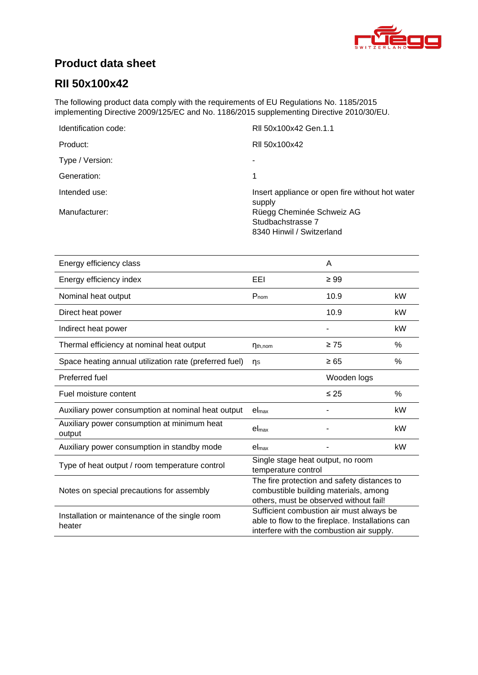

# **Product data sheet**

## **[RII 50x100x42](#page-0-0)**

The following product data comply with the requirements of EU Regulations No. 1185/2015 implementing Directive 2009/125/EC and No. 1186/2015 supplementing Directive 2010/30/EU.

| Identification code: | RII 50x100x42 Gen.1.1                                     |
|----------------------|-----------------------------------------------------------|
| Product:             | RII 50x100x42                                             |
| Type / Version:      |                                                           |
| Generation:          | 1                                                         |
| Intended use:        | Insert appliance or open fire without hot water<br>supply |
| Manufacturer:        | Rüegg Cheminée Schweiz AG                                 |
|                      | Studbachstrasse 7                                         |
|                      | 8340 Hinwil / Switzerland                                 |

| Energy efficiency class                                  |                                                                                                                                           | A           |               |
|----------------------------------------------------------|-------------------------------------------------------------------------------------------------------------------------------------------|-------------|---------------|
| Energy efficiency index                                  | EEI                                                                                                                                       | $\geq 99$   |               |
| Nominal heat output                                      | $P_{nom}$                                                                                                                                 | 10.9        | kW            |
| Direct heat power                                        |                                                                                                                                           | 10.9        | kW            |
| Indirect heat power                                      |                                                                                                                                           |             | kW            |
| Thermal efficiency at nominal heat output                | $\eta_{th,nom}$                                                                                                                           | $\geq 75$   | %             |
| Space heating annual utilization rate (preferred fuel)   | n <sub>s</sub>                                                                                                                            | $\geq 65$   | $\%$          |
| Preferred fuel                                           |                                                                                                                                           | Wooden logs |               |
| Fuel moisture content                                    |                                                                                                                                           | $\leq 25$   | $\frac{0}{0}$ |
| Auxiliary power consumption at nominal heat output       | el <sub>max</sub>                                                                                                                         |             | kW            |
| Auxiliary power consumption at minimum heat<br>output    | el <sub>max</sub>                                                                                                                         |             | kW            |
| Auxiliary power consumption in standby mode              | el <sub>max</sub>                                                                                                                         |             | kW            |
| Type of heat output / room temperature control           | Single stage heat output, no room<br>temperature control                                                                                  |             |               |
| Notes on special precautions for assembly                | The fire protection and safety distances to<br>combustible building materials, among<br>others, must be observed without fail!            |             |               |
| Installation or maintenance of the single room<br>heater | Sufficient combustion air must always be<br>able to flow to the fireplace. Installations can<br>interfere with the combustion air supply. |             |               |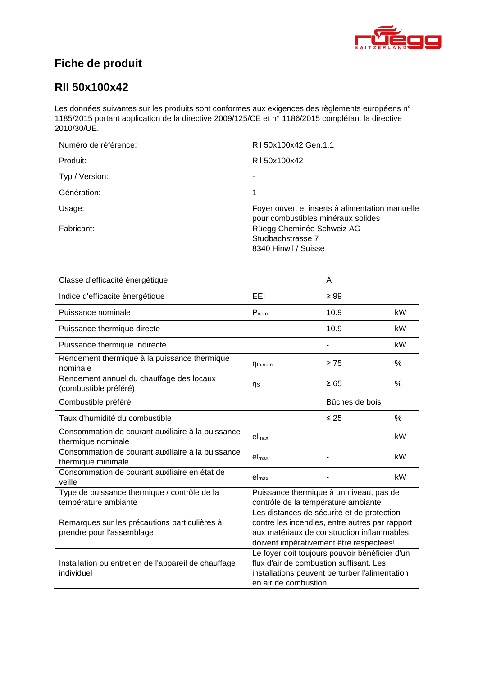

# **Fiche de produit**

### **[RII 50x100x42](#page-0-0)**

Les données suivantes sur les produits sont conformes aux exigences des règlements européens n° 1185/2015 portant application de la directive 2009/125/CE et n° 1186/2015 complétant la directive 2010/30/UE.

| Numéro de référence: | RII 50x100x42 Gen.1.1                                                                 |
|----------------------|---------------------------------------------------------------------------------------|
| Produit:             | RII 50x100x42                                                                         |
| Typ / Version:       | ۰                                                                                     |
| Génération:          | 1                                                                                     |
| Usage:               | Foyer ouvert et inserts à alimentation manuelle<br>pour combustibles minéraux solides |
| Fabricant:           | Rüegg Cheminée Schweiz AG<br>Studbachstrasse 7<br>8340 Hinwil / Suisse                |

| Classe d'efficacité énergétique                                            |                                                                                                                                                                                        | A              |      |
|----------------------------------------------------------------------------|----------------------------------------------------------------------------------------------------------------------------------------------------------------------------------------|----------------|------|
| Indice d'efficacité énergétique                                            | EEL                                                                                                                                                                                    | $\geq 99$      |      |
| Puissance nominale                                                         | $P_{nom}$                                                                                                                                                                              | 10.9           | kW   |
| Puissance thermique directe                                                |                                                                                                                                                                                        | 10.9           | kW   |
| Puissance thermique indirecte                                              |                                                                                                                                                                                        |                | kW   |
| Rendement thermique à la puissance thermique<br>nominale                   | $\eta_{th,nom}$                                                                                                                                                                        | $\geq 75$      | $\%$ |
| Rendement annuel du chauffage des locaux<br>(combustible préféré)          | ηs                                                                                                                                                                                     | $\geq 65$      | %    |
| Combustible préféré                                                        |                                                                                                                                                                                        | Bûches de bois |      |
| Taux d'humidité du combustible                                             |                                                                                                                                                                                        | $\leq 25$      | $\%$ |
| Consommation de courant auxiliaire à la puissance<br>thermique nominale    | el <sub>max</sub>                                                                                                                                                                      |                | kW   |
| Consommation de courant auxiliaire à la puissance<br>thermique minimale    | el <sub>max</sub>                                                                                                                                                                      |                | kW   |
| Consommation de courant auxiliaire en état de<br>veille                    | el <sub>max</sub>                                                                                                                                                                      |                | kW   |
| Type de puissance thermique / contrôle de la<br>température ambiante       | Puissance thermique à un niveau, pas de<br>contrôle de la température ambiante                                                                                                         |                |      |
| Remarques sur les précautions particulières à<br>prendre pour l'assemblage | Les distances de sécurité et de protection<br>contre les incendies, entre autres par rapport<br>aux matériaux de construction inflammables,<br>doivent impérativement être respectées! |                |      |
| Installation ou entretien de l'appareil de chauffage<br>individuel         | Le foyer doit toujours pouvoir bénéficier d'un<br>flux d'air de combustion suffisant. Les<br>installations peuvent perturber l'alimentation<br>en air de combustion.                   |                |      |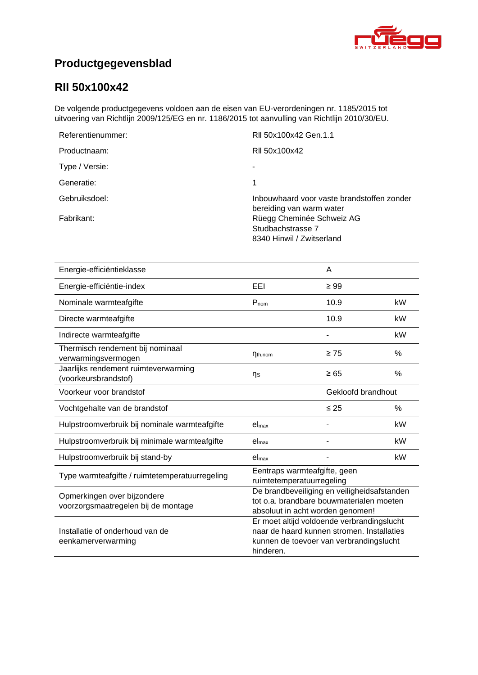

# **Productgegevensblad**

## **[RII 50x100x42](#page-0-0)**

De volgende productgegevens voldoen aan de eisen van EU-verordeningen nr. 1185/2015 tot uitvoering van Richtlijn 2009/125/EG en nr. 1186/2015 tot aanvulling van Richtlijn 2010/30/EU.

| Referentienummer: | RII 50x100x42 Gen.1.1                                                       |
|-------------------|-----------------------------------------------------------------------------|
| Productnaam:      | RII 50x100x42                                                               |
| Type / Versie:    |                                                                             |
| Generatie:        |                                                                             |
| Gebruiksdoel:     | Inbouwhaard voor vaste brandstoffen zonder<br>bereiding van warm water      |
| Fabrikant:        | Rüegg Cheminée Schweiz AG<br>Studbachstrasse 7<br>8340 Hinwil / Zwitserland |

| Energie-efficiëntieklasse                                          |                                                                                                                                                  | A         |      |
|--------------------------------------------------------------------|--------------------------------------------------------------------------------------------------------------------------------------------------|-----------|------|
| Energie-efficiëntie-index                                          | EEI                                                                                                                                              | $\geq 99$ |      |
| Nominale warmteafgifte                                             | P <sub>nom</sub>                                                                                                                                 | 10.9      | kW   |
| Directe warmteafgifte                                              |                                                                                                                                                  | 10.9      | kW   |
| Indirecte warmteafgifte                                            |                                                                                                                                                  |           | kW   |
| Thermisch rendement bij nominaal<br>verwarmingsvermogen            | $\eta_{th,nom}$                                                                                                                                  | $\geq 75$ | $\%$ |
| Jaarlijks rendement ruimteverwarming<br>(voorkeursbrandstof)       | ns                                                                                                                                               | $\geq 65$ | %    |
| Voorkeur voor brandstof                                            | Gekloofd brandhout                                                                                                                               |           |      |
| Vochtgehalte van de brandstof                                      |                                                                                                                                                  | $\leq 25$ | $\%$ |
| Hulpstroomverbruik bij nominale warmteafgifte                      | el <sub>max</sub>                                                                                                                                |           | kW   |
| Hulpstroomverbruik bij minimale warmteafgifte                      | el <sub>max</sub>                                                                                                                                |           | kW   |
| Hulpstroomverbruik bij stand-by                                    | el <sub>max</sub>                                                                                                                                |           | kW   |
| Type warmteafgifte / ruimtetemperatuurregeling                     | Eentraps warmteafgifte, geen<br>ruimtetemperatuurregeling                                                                                        |           |      |
| Opmerkingen over bijzondere<br>voorzorgsmaatregelen bij de montage | De brandbeveiliging en veiligheidsafstanden<br>tot o.a. brandbare bouwmaterialen moeten<br>absoluut in acht worden genomen!                      |           |      |
| Installatie of onderhoud van de<br>eenkamerverwarming              | Er moet altijd voldoende verbrandingslucht<br>naar de haard kunnen stromen. Installaties<br>kunnen de toevoer van verbrandingslucht<br>hinderen. |           |      |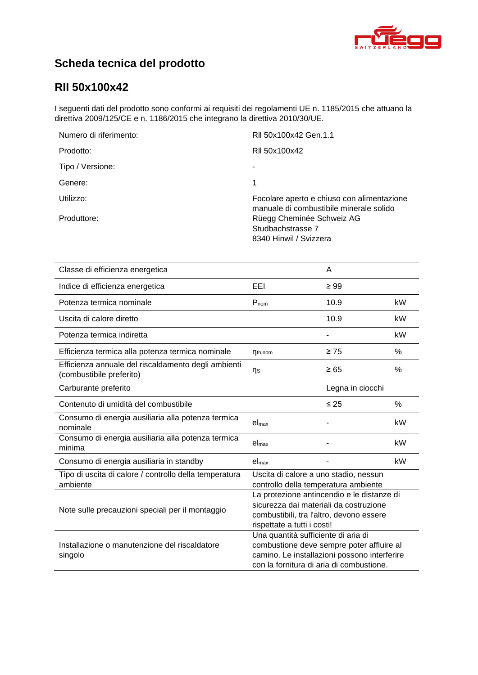

# **Scheda tecnica del prodotto**

## **[RII 50x100x42](#page-0-0)**

I seguenti dati del prodotto sono conformi ai requisiti dei regolamenti UE n. 1185/2015 che attuano la direttiva 2009/125/CE e n. 1186/2015 che integrano la direttiva 2010/30/UE.

| Numero di riferimento: | RII 50x100x42 Gen.1.1                                                                 |
|------------------------|---------------------------------------------------------------------------------------|
| Prodotto:              | RII 50x100x42                                                                         |
| Tipo / Versione:       |                                                                                       |
| Genere:                | 1                                                                                     |
| Utilizzo:              | Focolare aperto e chiuso con alimentazione<br>manuale di combustibile minerale solido |
| Produttore:            | Rüegg Cheminée Schweiz AG<br>Studbachstrasse 7<br>8340 Hinwil / Svizzera              |

| Classe di efficienza energetica                                                |                                                                                                                                                                              | A                |      |
|--------------------------------------------------------------------------------|------------------------------------------------------------------------------------------------------------------------------------------------------------------------------|------------------|------|
| Indice di efficienza energetica                                                | EEI                                                                                                                                                                          | $\geq 99$        |      |
| Potenza termica nominale                                                       | $P_{nom}$                                                                                                                                                                    | 10.9             | kW   |
| Uscita di calore diretto                                                       |                                                                                                                                                                              | 10.9             | kW   |
| Potenza termica indiretta                                                      |                                                                                                                                                                              |                  | kW   |
| Efficienza termica alla potenza termica nominale                               | $\eta_{th,nom}$                                                                                                                                                              | $\geq 75$        | %    |
| Efficienza annuale del riscaldamento degli ambienti<br>combustibile preferito) | ηs                                                                                                                                                                           | $\geq 65$        | %    |
| Carburante preferito                                                           |                                                                                                                                                                              | Legna in ciocchi |      |
| Contenuto di umidità del combustibile                                          |                                                                                                                                                                              | $\leq 25$        | $\%$ |
| Consumo di energia ausiliaria alla potenza termica<br>nominale                 | el <sub>max</sub>                                                                                                                                                            |                  | kW   |
| Consumo di energia ausiliaria alla potenza termica<br>minima                   | $el_{max}$                                                                                                                                                                   |                  | kW   |
| Consumo di energia ausiliaria in standby                                       | el <sub>max</sub>                                                                                                                                                            |                  | kW   |
| Tipo di uscita di calore / controllo della temperatura<br>ambiente             | Uscita di calore a uno stadio, nessun<br>controllo della temperatura ambiente                                                                                                |                  |      |
| Note sulle precauzioni speciali per il montaggio                               | La protezione antincendio e le distanze di<br>sicurezza dai materiali da costruzione<br>combustibili, tra l'altro, devono essere<br>rispettate a tutti i costi!              |                  |      |
| Installazione o manutenzione del riscaldatore<br>singolo                       | Una quantità sufficiente di aria di<br>combustione deve sempre poter affluire al<br>camino. Le installazioni possono interferire<br>con la fornitura di aria di combustione. |                  |      |